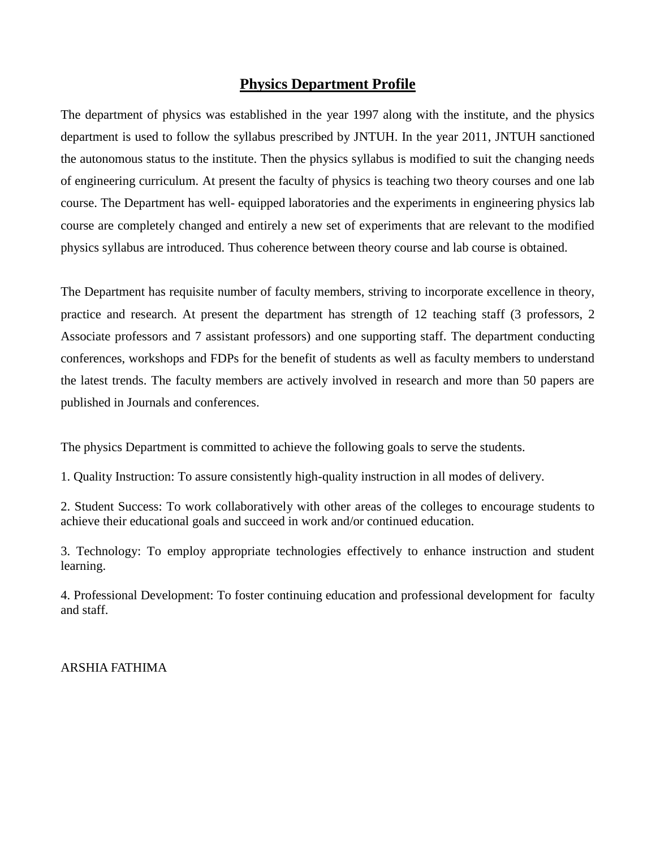# **Physics Department Profile**

The department of physics was established in the year 1997 along with the institute, and the physics department is used to follow the syllabus prescribed by JNTUH. In the year 2011, JNTUH sanctioned the autonomous status to the institute. Then the physics syllabus is modified to suit the changing needs of engineering curriculum. At present the faculty of physics is teaching two theory courses and one lab course. The Department has well- equipped laboratories and the experiments in engineering physics lab course are completely changed and entirely a new set of experiments that are relevant to the modified physics syllabus are introduced. Thus coherence between theory course and lab course is obtained.

The Department has requisite number of faculty members, striving to incorporate excellence in theory, practice and research. At present the department has strength of 12 teaching staff (3 professors, 2 Associate professors and 7 assistant professors) and one supporting staff. The department conducting conferences, workshops and FDPs for the benefit of students as well as faculty members to understand the latest trends. The faculty members are actively involved in research and more than 50 papers are published in Journals and conferences.

The physics Department is committed to achieve the following goals to serve the students.

1. Quality Instruction: To assure consistently high-quality instruction in all modes of delivery.

2. Student Success: To work collaboratively with other areas of the colleges to encourage students to achieve their educational goals and succeed in work and/or continued education.

3. Technology: To employ appropriate technologies effectively to enhance instruction and student learning.

4. Professional Development: To foster continuing education and professional development for faculty and staff.

ARSHIA FATHIMA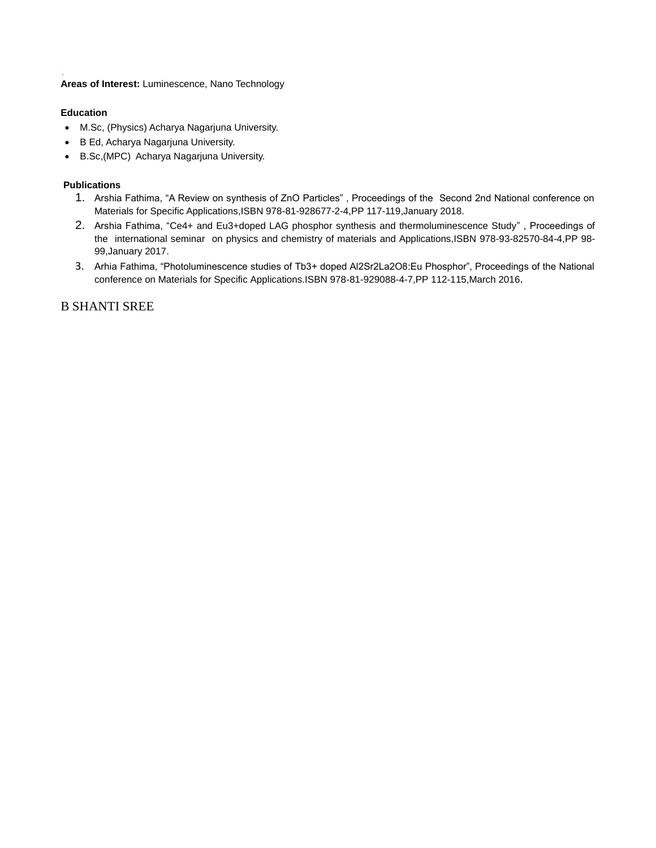**Areas of Interest:** Luminescence, Nano Technology

## **Education**

- M.Sc, (Physics) Acharya Nagarjuna University.
- B Ed, Acharya Nagarjuna University.
- B.Sc,(MPC) Acharya Nagarjuna University.

## **Publications**

- 1. Arshia Fathima, "A Review on synthesis of ZnO Particles" , Proceedings of the Second 2nd National conference on Materials for Specific Applications,ISBN 978-81-928677-2-4,PP 117-119,January 2018.
- 2. Arshia Fathima, "Ce4+ and Eu3+doped LAG phosphor synthesis and thermoluminescence Study" , Proceedings of the international seminar on physics and chemistry of materials and Applications,ISBN 978-93-82570-84-4,PP 98- 99,January 2017.
- 3. Arhia Fathima, "Photoluminescence studies of Tb3+ doped Al2Sr2La2O8:Eu Phosphor", Proceedings of the National conference on Materials for Specific Applications.ISBN 978-81-929088-4-7,PP 112-115,March 2016.

# B SHANTI SREE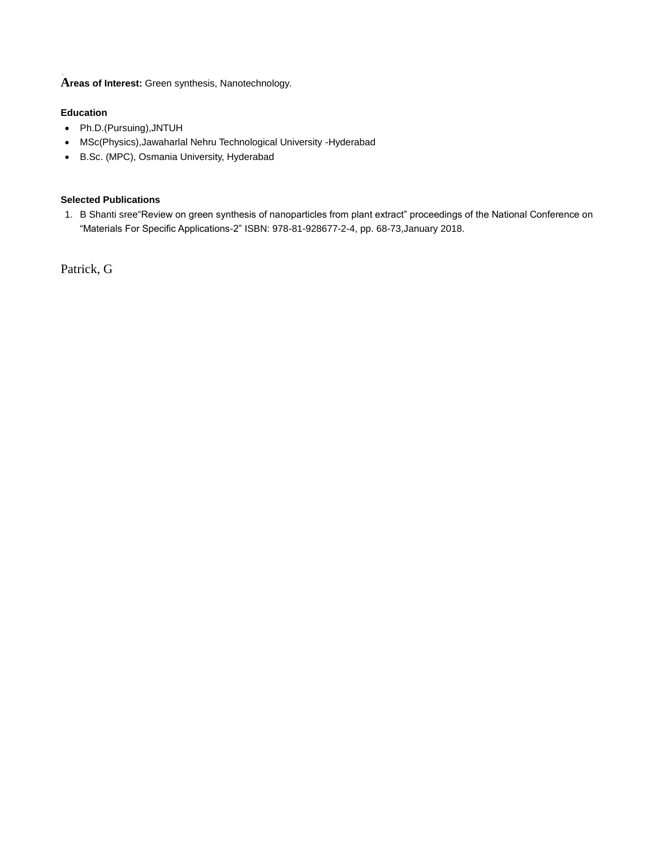**Areas of Interest:** Green synthesis, Nanotechnology.

## **Education**

- Ph.D.(Pursuing),JNTUH
- MSc(Physics),Jawaharlal Nehru Technological University -Hyderabad
- B.Sc. (MPC), Osmania University, Hyderabad

# **Selected Publications**

1. B Shanti sree"Review on green synthesis of nanoparticles from plant extract" proceedings of the National Conference on "Materials For Specific Applications-2" ISBN: 978-81-928677-2-4, pp. 68-73,January 2018.

Patrick, G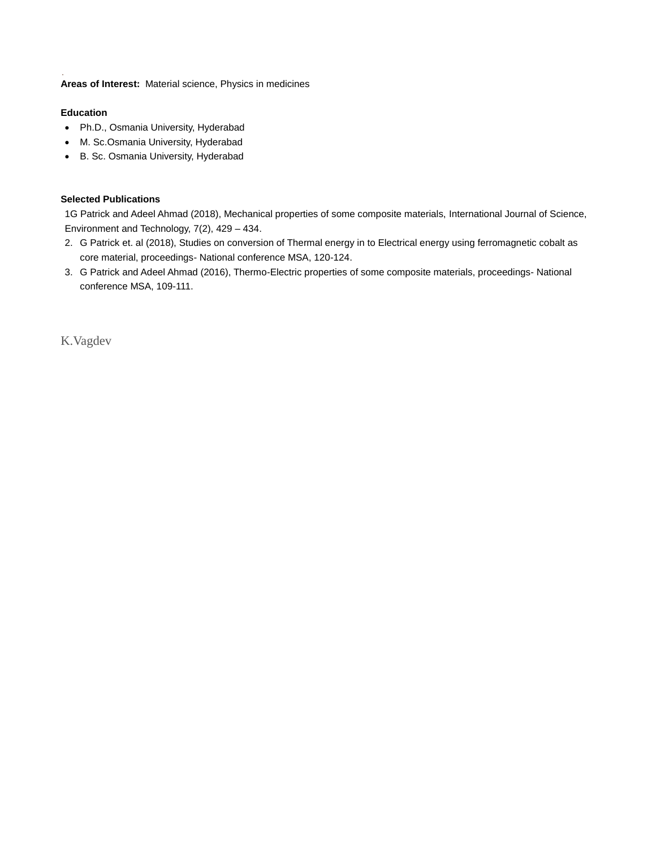**Areas of Interest:** Material science, Physics in medicines

## **Education**

- Ph.D., Osmania University, Hyderabad
- M. Sc.Osmania University, Hyderabad
- B. Sc. Osmania University, Hyderabad

## **Selected Publications**

1G Patrick and Adeel Ahmad (2018), Mechanical properties of some composite materials, International Journal of Science, Environment and Technology, 7(2), 429 – 434.

- 2. G Patrick et. al (2018), Studies on conversion of Thermal energy in to Electrical energy using ferromagnetic cobalt as core material, proceedings- National conference MSA, 120-124.
- 3. G Patrick and Adeel Ahmad (2016), Thermo-Electric properties of some composite materials, proceedings- National conference MSA, 109-111.

K.Vagdev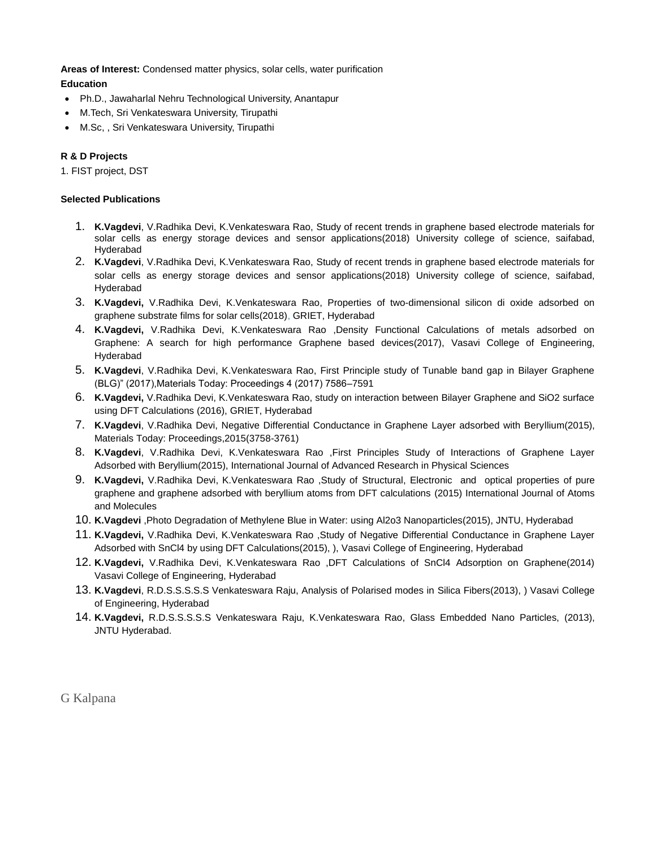**Areas of Interest:** Condensed matter physics, solar cells, water purification

# **Education**

- Ph.D., Jawaharlal Nehru Technological University, Anantapur
- M.Tech, Sri Venkateswara University, Tirupathi
- M.Sc, , Sri Venkateswara University, Tirupathi

## **R & D Projects**

1. FIST project, DST

## **Selected Publications**

- 1. **K.Vagdevi**, V.Radhika Devi, K.Venkateswara Rao, Study of recent trends in graphene based electrode materials for solar cells as energy storage devices and sensor applications(2018) University college of science, saifabad, Hyderabad
- 2. **K.Vagdevi**, V.Radhika Devi, K.Venkateswara Rao, Study of recent trends in graphene based electrode materials for solar cells as energy storage devices and sensor applications(2018) University college of science, saifabad, Hyderabad
- 3. **K.Vagdevi,** V.Radhika Devi, K.Venkateswara Rao, Properties of two-dimensional silicon di oxide adsorbed on graphene substrate films for solar cells(2018), GRIET, Hyderabad
- 4. **K.Vagdevi,** V.Radhika Devi, K.Venkateswara Rao ,Density Functional Calculations of metals adsorbed on Graphene: A search for high performance Graphene based devices(2017), Vasavi College of Engineering, Hyderabad
- 5. **K.Vagdevi**, V.Radhika Devi, K.Venkateswara Rao, First Principle study of Tunable band gap in Bilayer Graphene (BLG)" (2017),Materials Today: Proceedings 4 (2017) 7586–7591
- 6. **K.Vagdevi,** V.Radhika Devi, K.Venkateswara Rao, study on interaction between Bilayer Graphene and SiO2 surface using DFT Calculations (2016), GRIET, Hyderabad
- 7. **K.Vagdevi**, V.Radhika Devi, Negative Differential Conductance in Graphene Layer adsorbed with Beryllium(2015), Materials Today: Proceedings,2015(3758-3761)
- 8. **K.Vagdevi**, V.Radhika Devi, K.Venkateswara Rao ,First Principles Study of Interactions of Graphene Layer Adsorbed with Beryllium(2015), International Journal of Advanced Research in Physical Sciences
- 9. **K.Vagdevi,** V.Radhika Devi, K.Venkateswara Rao ,Study of Structural, Electronic and optical properties of pure graphene and graphene adsorbed with beryllium atoms from DFT calculations (2015) International Journal of Atoms and Molecules
- 10. **K.Vagdevi** ,Photo Degradation of Methylene Blue in Water: using Al2o3 Nanoparticles(2015), JNTU, Hyderabad
- 11. **K.Vagdevi,** V.Radhika Devi, K.Venkateswara Rao ,Study of Negative Differential Conductance in Graphene Layer Adsorbed with SnCl4 by using DFT Calculations(2015), ), Vasavi College of Engineering, Hyderabad
- 12. **K.Vagdevi,** V.Radhika Devi, K.Venkateswara Rao ,DFT Calculations of SnCl4 Adsorption on Graphene(2014) Vasavi College of Engineering, Hyderabad
- 13. **K.Vagdevi**, R.D.S.S.S.S.S Venkateswara Raju, Analysis of Polarised modes in Silica Fibers(2013), ) Vasavi College of Engineering, Hyderabad
- 14. **K.Vagdevi,** R.D.S.S.S.S.S Venkateswara Raju, K.Venkateswara Rao, Glass Embedded Nano Particles, (2013), JNTU Hyderabad.

G Kalpana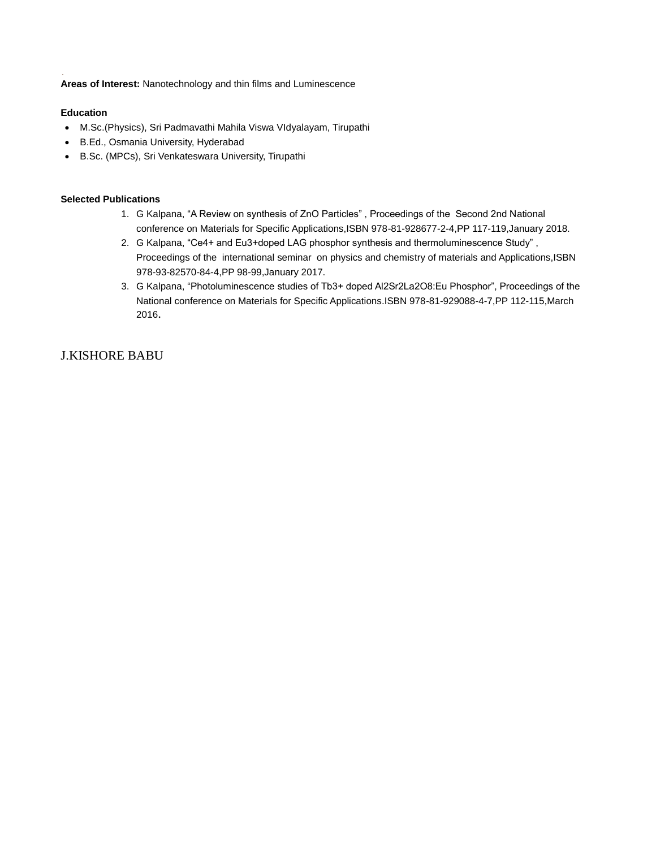**Areas of Interest:** Nanotechnology and thin films and Luminescence

## **Education**

- M.Sc.(Physics), Sri Padmavathi Mahila Viswa VIdyalayam, Tirupathi
- B.Ed., Osmania University, Hyderabad
- B.Sc. (MPCs), Sri Venkateswara University, Tirupathi

## **Selected Publications**

- 1. G Kalpana, "A Review on synthesis of ZnO Particles" , Proceedings of the Second 2nd National conference on Materials for Specific Applications,ISBN 978-81-928677-2-4,PP 117-119,January 2018.
- 2. G Kalpana, "Ce4+ and Eu3+doped LAG phosphor synthesis and thermoluminescence Study" , Proceedings of the international seminar on physics and chemistry of materials and Applications,ISBN 978-93-82570-84-4,PP 98-99,January 2017.
- 3. G Kalpana, "Photoluminescence studies of Tb3+ doped Al2Sr2La2O8:Eu Phosphor", Proceedings of the National conference on Materials for Specific Applications.ISBN 978-81-929088-4-7,PP 112-115,March 2016.

# J.KISHORE BABU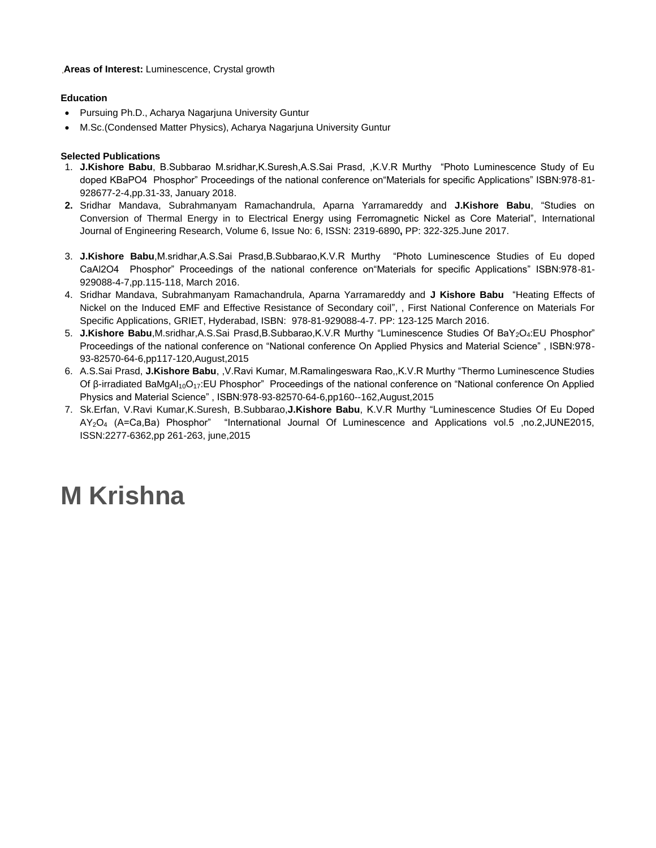### **Areas of Interest:** Luminescence, Crystal growth

## **Education**

- Pursuing Ph.D., Acharya Nagarjuna University Guntur
- M.Sc.(Condensed Matter Physics), Acharya Nagarjuna University Guntur

## **Selected Publications**

- 1. **J.Kishore Babu**, B.Subbarao M.sridhar,K.Suresh,A.S.Sai Prasd, ,K.V.R Murthy "Photo Luminescence Study of Eu doped KBaPO4 Phosphor" Proceedings of the national conference on"Materials for specific Applications" ISBN:978-81- 928677-2-4,pp.31-33, January 2018.
- **2.** Sridhar Mandava, Subrahmanyam Ramachandrula, Aparna Yarramareddy and **J.Kishore Babu**, "Studies on Conversion of Thermal Energy in to Electrical Energy using Ferromagnetic Nickel as Core Material", International Journal of Engineering Research, Volume 6, Issue No: 6, ISSN: 2319-6890**,** PP: 322-325.June 2017.
- 3. **J.Kishore Babu**,M.sridhar,A.S.Sai Prasd,B.Subbarao,K.V.R Murthy "Photo Luminescence Studies of Eu doped CaAl2O4 Phosphor" Proceedings of the national conference on"Materials for specific Applications" ISBN:978-81- 929088-4-7,pp.115-118, March 2016.
- 4. Sridhar Mandava, Subrahmanyam Ramachandrula, Aparna Yarramareddy and **J Kishore Babu** "Heating Effects of Nickel on the Induced EMF and Effective Resistance of Secondary coil", , First National Conference on Materials For Specific Applications, GRIET, Hyderabad, ISBN:978-81-929088-4-7. PP: 123-125 March 2016.
- 5. **J.Kishore Babu**,M.sridhar,A.S.Sai Prasd,B.Subbarao,K.V.R Murthy "Luminescence Studies Of BaY2O4:EU Phosphor" Proceedings of the national conference on "National conference On Applied Physics and Material Science" , ISBN:978- 93-82570-64-6,pp117-120,August,2015
- 6. A.S.Sai Prasd, **J.Kishore Babu**, ,V.Ravi Kumar, M.Ramalingeswara Rao,,K.V.R Murthy "Thermo Luminescence Studies Of β-irradiated BaMgAl<sub>10</sub>O<sub>17</sub>:EU Phosphor" Proceedings of the national conference on "National conference On Applied Physics and Material Science" , ISBN:978-93-82570-64-6,pp160--162,August,2015
- 7. Sk.Erfan, V.Ravi Kumar,K.Suresh, B.Subbarao,**J.Kishore Babu**, K.V.R Murthy "Luminescence Studies Of Eu Doped AY2O<sup>4</sup> (A=Ca,Ba) Phosphor" "International Journal Of Luminescence and Applications vol.5 ,no.2,JUNE2015, ISSN:2277-6362,pp 261-263, june,2015

# **M Krishna**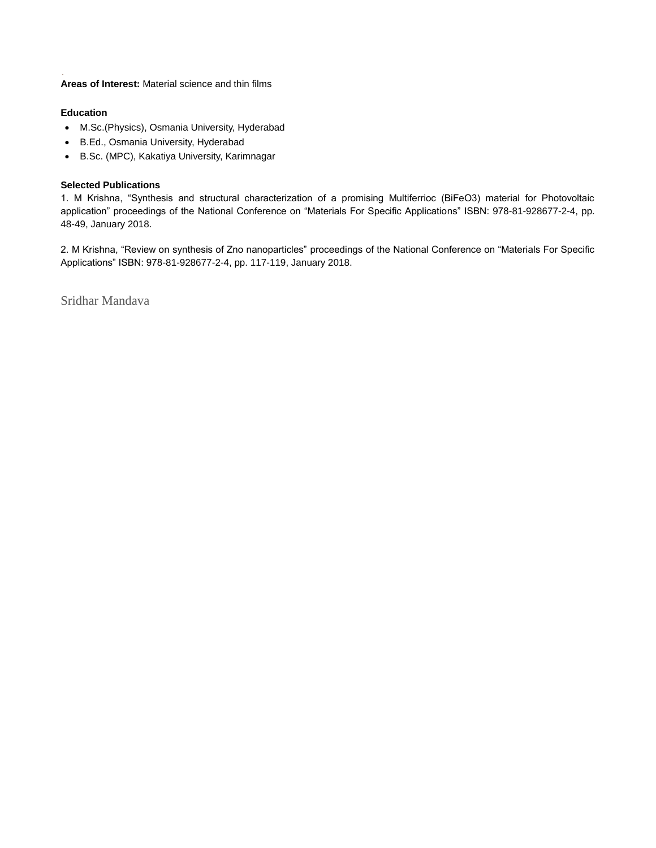**Areas of Interest:** Material science and thin films

## **Education**

- M.Sc.(Physics), Osmania University, Hyderabad
- B.Ed., Osmania University, Hyderabad
- B.Sc. (MPC), Kakatiya University, Karimnagar

## **Selected Publications**

1. M Krishna, "Synthesis and structural characterization of a promising Multiferrioc (BiFeO3) material for Photovoltaic application" proceedings of the National Conference on "Materials For Specific Applications" ISBN: 978-81-928677-2-4, pp. 48-49, January 2018.

2. M Krishna, "Review on synthesis of Zno nanoparticles" proceedings of the National Conference on "Materials For Specific Applications" ISBN: 978-81-928677-2-4, pp. 117-119, January 2018.

Sridhar Mandava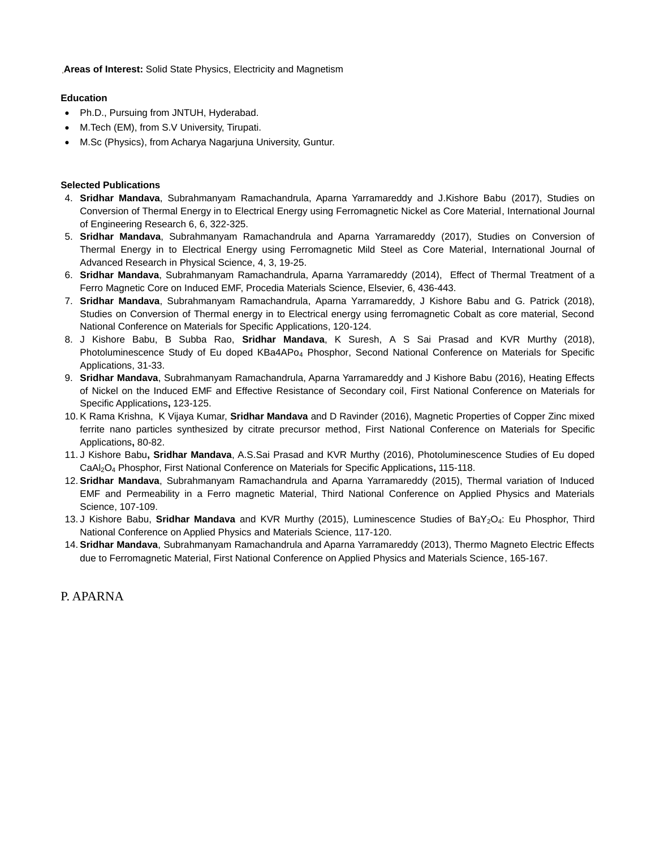**Areas of Interest:** Solid State Physics, Electricity and Magnetism

## **Education**

- Ph.D., Pursuing from JNTUH, Hyderabad.
- M.Tech (EM), from S.V University, Tirupati.
- M.Sc (Physics), from Acharya Nagarjuna University, Guntur.

## **Selected Publications**

- 4. **Sridhar Mandava**, Subrahmanyam Ramachandrula, Aparna Yarramareddy and J.Kishore Babu (2017), Studies on Conversion of Thermal Energy in to Electrical Energy using Ferromagnetic Nickel as Core Material, International Journal of Engineering Research 6, 6, 322-325.
- 5. **Sridhar Mandava**, Subrahmanyam Ramachandrula and Aparna Yarramareddy (2017), Studies on Conversion of Thermal Energy in to Electrical Energy using Ferromagnetic Mild Steel as Core Material, International Journal of Advanced Research in Physical Science, 4, 3, 19-25.
- 6. **Sridhar Mandava**, Subrahmanyam Ramachandrula, Aparna Yarramareddy (2014), Effect of Thermal Treatment of a Ferro Magnetic Core on Induced EMF, Procedia Materials Science, Elsevier, 6, 436-443.
- 7. **Sridhar Mandava**, Subrahmanyam Ramachandrula, Aparna Yarramareddy, J Kishore Babu and G. Patrick (2018), Studies on Conversion of Thermal energy in to Electrical energy using ferromagnetic Cobalt as core material, Second National Conference on Materials for Specific Applications, 120-124.
- 8. J Kishore Babu, B Subba Rao, **Sridhar Mandava**, K Suresh, A S Sai Prasad and KVR Murthy (2018), Photoluminescence Study of Eu doped KBa4APo<sub>4</sub> Phosphor, Second National Conference on Materials for Specific Applications, 31-33.
- 9. **Sridhar Mandava**, Subrahmanyam Ramachandrula, Aparna Yarramareddy and J Kishore Babu (2016), Heating Effects of Nickel on the Induced EMF and Effective Resistance of Secondary coil, First National Conference on Materials for Specific Applications**,** 123-125.
- 10. K Rama Krishna, K Vijaya Kumar, **Sridhar Mandava** and D Ravinder (2016), Magnetic Properties of Copper Zinc mixed ferrite nano particles synthesized by citrate precursor method, First National Conference on Materials for Specific Applications**,** 80-82.
- 11. J Kishore Babu**, Sridhar Mandava**, A.S.Sai Prasad and KVR Murthy (2016), Photoluminescence Studies of Eu doped CaAl2O<sup>4</sup> Phosphor, First National Conference on Materials for Specific Applications**,** 115-118.
- 12. **Sridhar Mandava**, Subrahmanyam Ramachandrula and Aparna Yarramareddy (2015), Thermal variation of Induced EMF and Permeability in a Ferro magnetic Material, Third National Conference on Applied Physics and Materials Science, 107-109.
- 13. J Kishore Babu, **Sridhar Mandava** and KVR Murthy (2015), Luminescence Studies of BaY2O4: Eu Phosphor, Third National Conference on Applied Physics and Materials Science, 117-120.
- 14. **Sridhar Mandava**, Subrahmanyam Ramachandrula and Aparna Yarramareddy (2013), Thermo Magneto Electric Effects due to Ferromagnetic Material, First National Conference on Applied Physics and Materials Science, 165-167.

P. APARNA